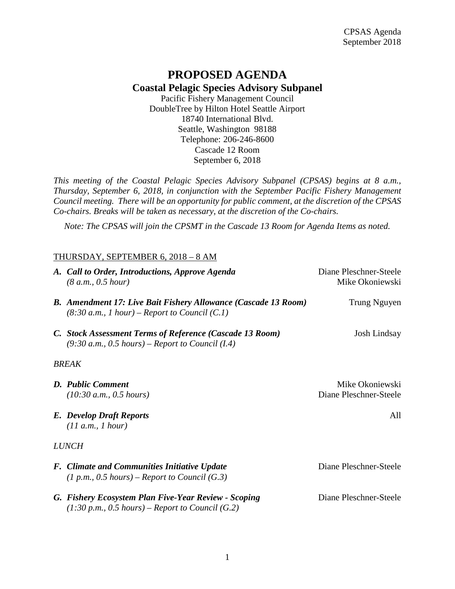## **PROPOSED AGENDA Coastal Pelagic Species Advisory Subpanel**

Pacific Fishery Management Council DoubleTree by Hilton Hotel Seattle Airport 18740 International Blvd. Seattle, Washington 98188 Telephone: 206-246-8600 Cascade 12 Room September 6, 2018

*This meeting of the Coastal Pelagic Species Advisory Subpanel (CPSAS) begins at 8 a.m., Thursday, September 6, 2018, in conjunction with the September Pacific Fishery Management Council meeting. There will be an opportunity for public comment, at the discretion of the CPSAS Co-chairs. Breaks will be taken as necessary, at the discretion of the Co-chairs.*

*Note: The CPSAS will join the CPSMT in the Cascade 13 Room for Agenda Items as noted.*

## THURSDAY, SEPTEMBER 6, 2018 – 8 AM

|              | A. Call to Order, Introductions, Approve Agenda<br>(8 a.m., 0.5 hour)                                                    | Diane Pleschner-Steele<br>Mike Okoniewski |
|--------------|--------------------------------------------------------------------------------------------------------------------------|-------------------------------------------|
|              | <b>B.</b> Amendment 17: Live Bait Fishery Allowance (Cascade 13 Room)<br>$(8:30 a.m., 1 hour)$ – Report to Council (C.1) | Trung Nguyen                              |
|              | C. Stock Assessment Terms of Reference (Cascade 13 Room)<br>$(9:30 a.m., 0.5 hours)$ – Report to Council (I.4)           | Josh Lindsay                              |
| <b>BREAK</b> |                                                                                                                          |                                           |
|              | D. Public Comment<br>(10:30 a.m., 0.5 hours)                                                                             | Mike Okoniewski<br>Diane Pleschner-Steele |
|              | <b>E.</b> Develop Draft Reports<br>(11 a.m., 1 hour)                                                                     | All                                       |
| <b>LUNCH</b> |                                                                                                                          |                                           |
|              | <b>F.</b> Climate and Communities Initiative Update<br>$(1 p.m., 0.5 hours)$ – Report to Council (G.3)                   | Diane Pleschner-Steele                    |
|              | G. Fishery Ecosystem Plan Five-Year Review - Scoping<br>$(1:30 p.m., 0.5 hours)$ – Report to Council (G.2)               | Diane Pleschner-Steele                    |